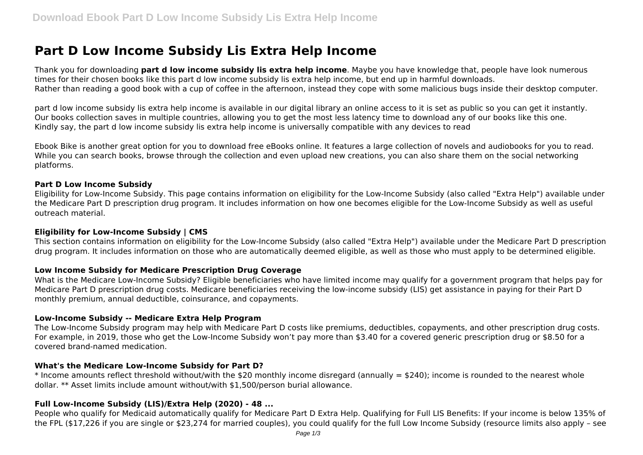# **Part D Low Income Subsidy Lis Extra Help Income**

Thank you for downloading **part d low income subsidy lis extra help income**. Maybe you have knowledge that, people have look numerous times for their chosen books like this part d low income subsidy lis extra help income, but end up in harmful downloads. Rather than reading a good book with a cup of coffee in the afternoon, instead they cope with some malicious bugs inside their desktop computer.

part d low income subsidy lis extra help income is available in our digital library an online access to it is set as public so you can get it instantly. Our books collection saves in multiple countries, allowing you to get the most less latency time to download any of our books like this one. Kindly say, the part d low income subsidy lis extra help income is universally compatible with any devices to read

Ebook Bike is another great option for you to download free eBooks online. It features a large collection of novels and audiobooks for you to read. While you can search books, browse through the collection and even upload new creations, you can also share them on the social networking platforms.

#### **Part D Low Income Subsidy**

Eligibility for Low-Income Subsidy. This page contains information on eligibility for the Low-Income Subsidy (also called "Extra Help") available under the Medicare Part D prescription drug program. It includes information on how one becomes eligible for the Low-Income Subsidy as well as useful outreach material.

#### **Eligibility for Low-Income Subsidy | CMS**

This section contains information on eligibility for the Low-Income Subsidy (also called "Extra Help") available under the Medicare Part D prescription drug program. It includes information on those who are automatically deemed eligible, as well as those who must apply to be determined eligible.

#### **Low Income Subsidy for Medicare Prescription Drug Coverage**

What is the Medicare Low-Income Subsidy? Eligible beneficiaries who have limited income may qualify for a government program that helps pay for Medicare Part D prescription drug costs. Medicare beneficiaries receiving the low-income subsidy (LIS) get assistance in paying for their Part D monthly premium, annual deductible, coinsurance, and copayments.

#### **Low-Income Subsidy -- Medicare Extra Help Program**

The Low-Income Subsidy program may help with Medicare Part D costs like premiums, deductibles, copayments, and other prescription drug costs. For example, in 2019, those who get the Low-Income Subsidy won't pay more than \$3.40 for a covered generic prescription drug or \$8.50 for a covered brand-named medication.

#### **What's the Medicare Low-Income Subsidy for Part D?**

\* Income amounts reflect threshold without/with the \$20 monthly income disregard (annually = \$240); income is rounded to the nearest whole dollar. \*\* Asset limits include amount without/with \$1,500/person burial allowance.

### **Full Low-Income Subsidy (LIS)/Extra Help (2020) - 48 ...**

People who qualify for Medicaid automatically qualify for Medicare Part D Extra Help. Qualifying for Full LIS Benefits: If your income is below 135% of the FPL (\$17,226 if you are single or \$23,274 for married couples), you could qualify for the full Low Income Subsidy (resource limits also apply – see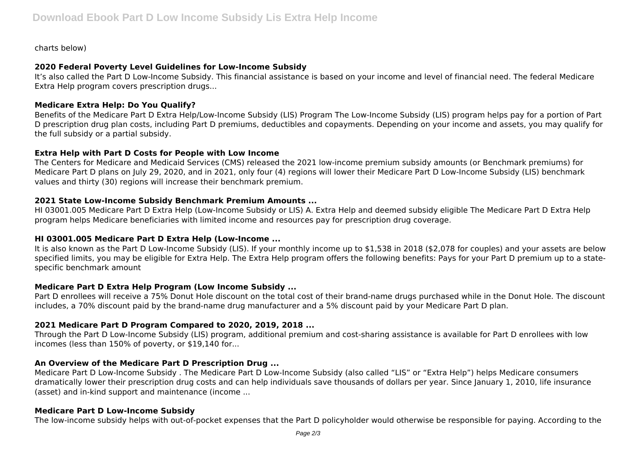charts below)

## **2020 Federal Poverty Level Guidelines for Low-Income Subsidy**

It's also called the Part D Low-Income Subsidy. This financial assistance is based on your income and level of financial need. The federal Medicare Extra Help program covers prescription drugs...

# **Medicare Extra Help: Do You Qualify?**

Benefits of the Medicare Part D Extra Help/Low-Income Subsidy (LIS) Program The Low-Income Subsidy (LIS) program helps pay for a portion of Part D prescription drug plan costs, including Part D premiums, deductibles and copayments. Depending on your income and assets, you may qualify for the full subsidy or a partial subsidy.

# **Extra Help with Part D Costs for People with Low Income**

The Centers for Medicare and Medicaid Services (CMS) released the 2021 low-income premium subsidy amounts (or Benchmark premiums) for Medicare Part D plans on July 29, 2020, and in 2021, only four (4) regions will lower their Medicare Part D Low-Income Subsidy (LIS) benchmark values and thirty (30) regions will increase their benchmark premium.

# **2021 State Low-Income Subsidy Benchmark Premium Amounts ...**

HI 03001.005 Medicare Part D Extra Help (Low-Income Subsidy or LIS) A. Extra Help and deemed subsidy eligible The Medicare Part D Extra Help program helps Medicare beneficiaries with limited income and resources pay for prescription drug coverage.

# **HI 03001.005 Medicare Part D Extra Help (Low-Income ...**

It is also known as the Part D Low-Income Subsidy (LIS). If your monthly income up to \$1,538 in 2018 (\$2,078 for couples) and your assets are below specified limits, you may be eligible for Extra Help. The Extra Help program offers the following benefits: Pays for your Part D premium up to a statespecific benchmark amount

# **Medicare Part D Extra Help Program (Low Income Subsidy ...**

Part D enrollees will receive a 75% Donut Hole discount on the total cost of their brand-name drugs purchased while in the Donut Hole. The discount includes, a 70% discount paid by the brand-name drug manufacturer and a 5% discount paid by your Medicare Part D plan.

# **2021 Medicare Part D Program Compared to 2020, 2019, 2018 ...**

Through the Part D Low-Income Subsidy (LIS) program, additional premium and cost-sharing assistance is available for Part D enrollees with low incomes (less than 150% of poverty, or \$19,140 for...

# **An Overview of the Medicare Part D Prescription Drug ...**

Medicare Part D Low-Income Subsidy . The Medicare Part D Low-Income Subsidy (also called "LIS" or "Extra Help") helps Medicare consumers dramatically lower their prescription drug costs and can help individuals save thousands of dollars per year. Since January 1, 2010, life insurance (asset) and in-kind support and maintenance (income ...

# **Medicare Part D Low-Income Subsidy**

The low-income subsidy helps with out-of-pocket expenses that the Part D policyholder would otherwise be responsible for paying. According to the